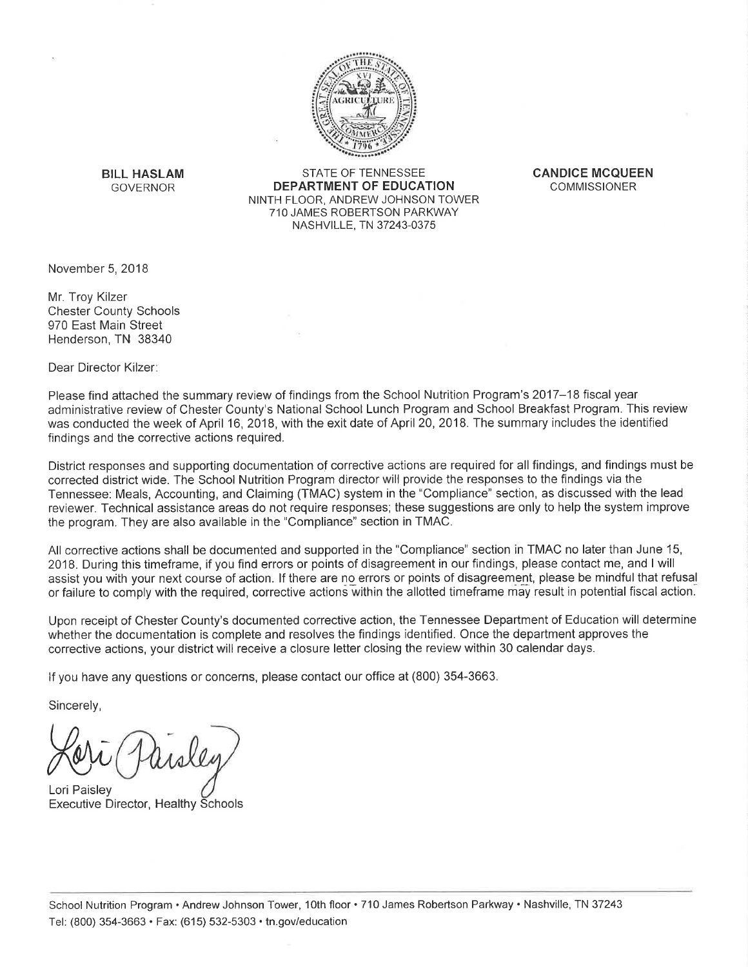

**BILL HASLAM GOVERNOR** 

STATE OF TENNESSEE DEPARTMENT OF EDUCATION NINTH FLOOR, ANDREW JOHNSON TOWER 710 JAMES ROBERTSON PARKWAY NASHVILLE, TN 37243-0375

**CANDICE MCQUEEN COMMISSIONER** 

November 5, 2018

Mr. Troy Kilzer **Chester County Schools** 970 East Main Street Henderson, TN 38340

Dear Director Kilzer:

Please find attached the summary review of findings from the School Nutrition Program's 2017–18 fiscal year administrative review of Chester County's National School Lunch Program and School Breakfast Program. This review was conducted the week of April 16, 2018, with the exit date of April 20, 2018. The summary includes the identified findings and the corrective actions required.

District responses and supporting documentation of corrective actions are required for all findings, and findings must be corrected district wide. The School Nutrition Program director will provide the responses to the findings via the Tennessee: Meals, Accounting, and Claiming (TMAC) system in the "Compliance" section, as discussed with the lead reviewer. Technical assistance areas do not require responses; these suggestions are only to help the system improve the program. They are also available in the "Compliance" section in TMAC.

All corrective actions shall be documented and supported in the "Compliance" section in TMAC no later than June 15, 2018. During this timeframe, if you find errors or points of disagreement in our findings, please contact me, and I will assist you with your next course of action. If there are no errors or points of disagreement, please be mindful that refusal or failure to comply with the required, corrective actions within the allotted timeframe may result in potential fiscal action.

Upon receipt of Chester County's documented corrective action, the Tennessee Department of Education will determine whether the documentation is complete and resolves the findings identified. Once the department approves the corrective actions, your district will receive a closure letter closing the review within 30 calendar days.

If you have any questions or concerns, please contact our office at (800) 354-3663.

Sincerely,

Lori Paisley **Executive Director, Healthy Schools**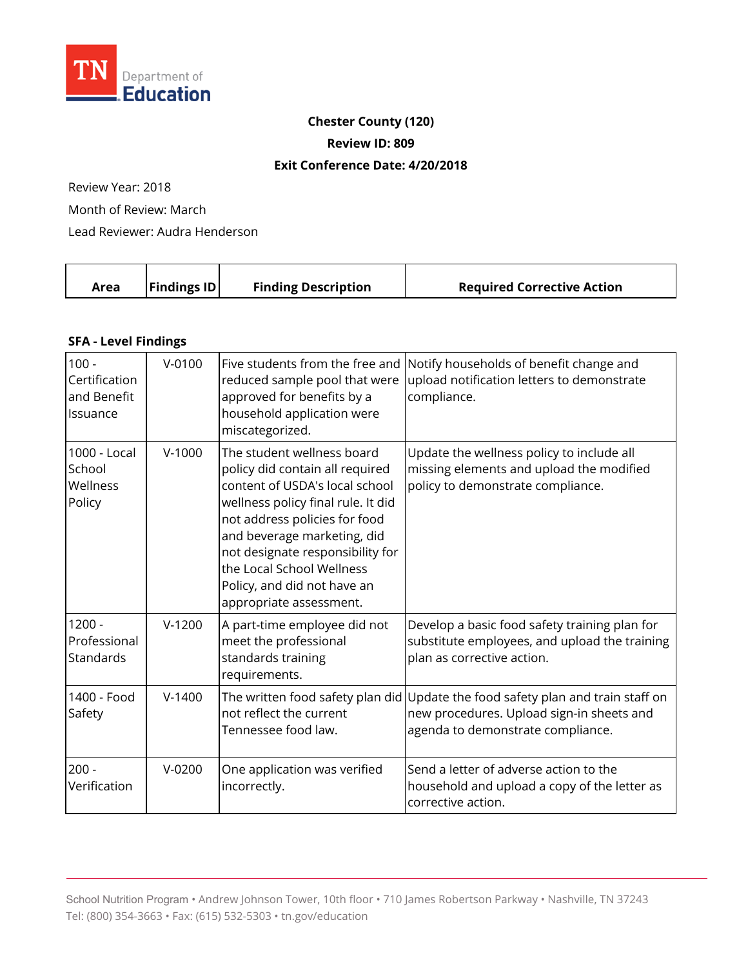

### **Chester County (120)**

**Review ID: 809** 

#### **Exit Conference Date: 4/20/2018**

Review Year: 2018

Month of Review: March

Lead Reviewer: Audra Henderson

|  | Area | $\vert$ Findings ID $\vert$ | <b>Finding Description</b> | <b>Required Corrective Action</b> |
|--|------|-----------------------------|----------------------------|-----------------------------------|
|--|------|-----------------------------|----------------------------|-----------------------------------|

### **SFA - Level Findings**

| $100 -$<br>Certification<br>and Benefit<br>Issuance | $V - 0100$ | Five students from the free and<br>reduced sample pool that were<br>approved for benefits by a<br>household application were<br>miscategorized.                                                                                                                                                                                  | Notify households of benefit change and<br>upload notification letters to demonstrate<br>compliance.                                                              |
|-----------------------------------------------------|------------|----------------------------------------------------------------------------------------------------------------------------------------------------------------------------------------------------------------------------------------------------------------------------------------------------------------------------------|-------------------------------------------------------------------------------------------------------------------------------------------------------------------|
| 1000 - Local<br>School<br>Wellness<br>Policy        | $V-1000$   | The student wellness board<br>policy did contain all required<br>content of USDA's local school<br>wellness policy final rule. It did<br>not address policies for food<br>and beverage marketing, did<br>not designate responsibility for<br>the Local School Wellness<br>Policy, and did not have an<br>appropriate assessment. | Update the wellness policy to include all<br>missing elements and upload the modified<br>policy to demonstrate compliance.                                        |
| $1200 -$<br>Professional<br>Standards               | $V-1200$   | A part-time employee did not<br>meet the professional<br>standards training<br>requirements.                                                                                                                                                                                                                                     | Develop a basic food safety training plan for<br>substitute employees, and upload the training<br>plan as corrective action.                                      |
| 1400 - Food<br>Safety                               | $V-1400$   | not reflect the current<br>Tennessee food law.                                                                                                                                                                                                                                                                                   | The written food safety plan did Update the food safety plan and train staff on<br>new procedures. Upload sign-in sheets and<br>agenda to demonstrate compliance. |
| $200 -$<br>Verification                             | $V-0200$   | One application was verified<br>incorrectly.                                                                                                                                                                                                                                                                                     | Send a letter of adverse action to the<br>household and upload a copy of the letter as<br>corrective action.                                                      |